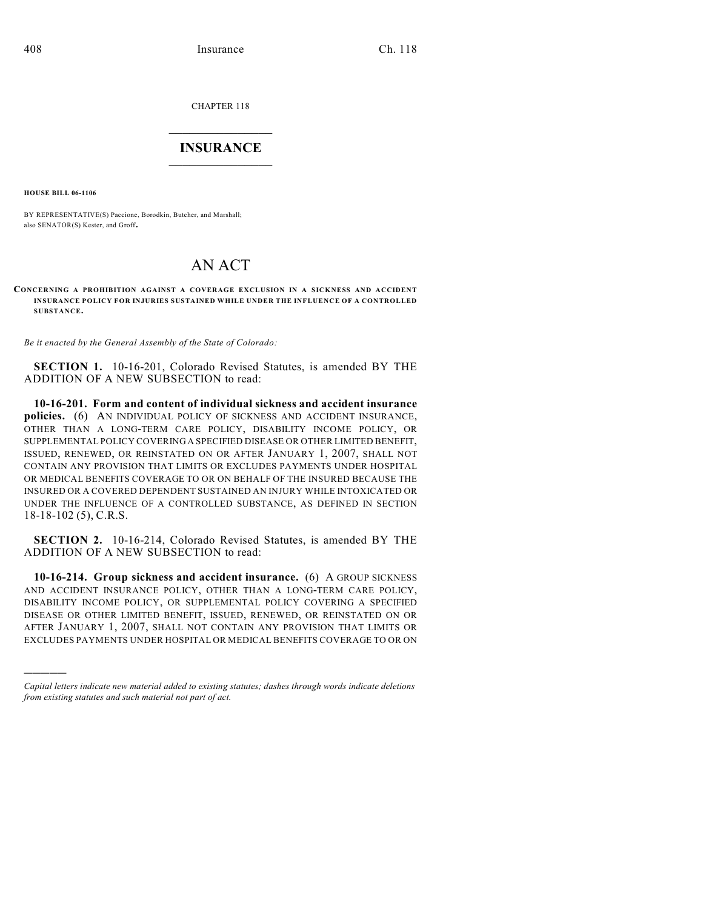CHAPTER 118

## $\mathcal{L}_\text{max}$  . The set of the set of the set of the set of the set of the set of the set of the set of the set of the set of the set of the set of the set of the set of the set of the set of the set of the set of the set **INSURANCE**  $\frac{1}{2}$  ,  $\frac{1}{2}$  ,  $\frac{1}{2}$  ,  $\frac{1}{2}$  ,  $\frac{1}{2}$  ,  $\frac{1}{2}$  ,  $\frac{1}{2}$

**HOUSE BILL 06-1106**

)))))

BY REPRESENTATIVE(S) Paccione, Borodkin, Butcher, and Marshall; also SENATOR(S) Kester, and Groff.

## AN ACT

**CONCERNING A PROHIBITION AGAINST A COVERAGE EXCLUSION IN A SICKNESS AND ACCIDENT INSURANCE POLICY FOR INJURIES SUSTAINED WHILE UNDER THE INFLUENCE OF A CONTROLLED SUBSTANCE.**

*Be it enacted by the General Assembly of the State of Colorado:*

**SECTION 1.** 10-16-201, Colorado Revised Statutes, is amended BY THE ADDITION OF A NEW SUBSECTION to read:

**10-16-201. Form and content of individual sickness and accident insurance policies.** (6) AN INDIVIDUAL POLICY OF SICKNESS AND ACCIDENT INSURANCE, OTHER THAN A LONG-TERM CARE POLICY, DISABILITY INCOME POLICY, OR SUPPLEMENTAL POLICY COVERING A SPECIFIED DISEASE OR OTHER LIMITED BENEFIT, ISSUED, RENEWED, OR REINSTATED ON OR AFTER JANUARY 1, 2007, SHALL NOT CONTAIN ANY PROVISION THAT LIMITS OR EXCLUDES PAYMENTS UNDER HOSPITAL OR MEDICAL BENEFITS COVERAGE TO OR ON BEHALF OF THE INSURED BECAUSE THE INSURED OR A COVERED DEPENDENT SUSTAINED AN INJURY WHILE INTOXICATED OR UNDER THE INFLUENCE OF A CONTROLLED SUBSTANCE, AS DEFINED IN SECTION 18-18-102 (5), C.R.S.

**SECTION 2.** 10-16-214, Colorado Revised Statutes, is amended BY THE ADDITION OF A NEW SUBSECTION to read:

**10-16-214. Group sickness and accident insurance.** (6) A GROUP SICKNESS AND ACCIDENT INSURANCE POLICY, OTHER THAN A LONG-TERM CARE POLICY, DISABILITY INCOME POLICY, OR SUPPLEMENTAL POLICY COVERING A SPECIFIED DISEASE OR OTHER LIMITED BENEFIT, ISSUED, RENEWED, OR REINSTATED ON OR AFTER JANUARY 1, 2007, SHALL NOT CONTAIN ANY PROVISION THAT LIMITS OR EXCLUDES PAYMENTS UNDER HOSPITAL OR MEDICAL BENEFITS COVERAGE TO OR ON

*Capital letters indicate new material added to existing statutes; dashes through words indicate deletions from existing statutes and such material not part of act.*